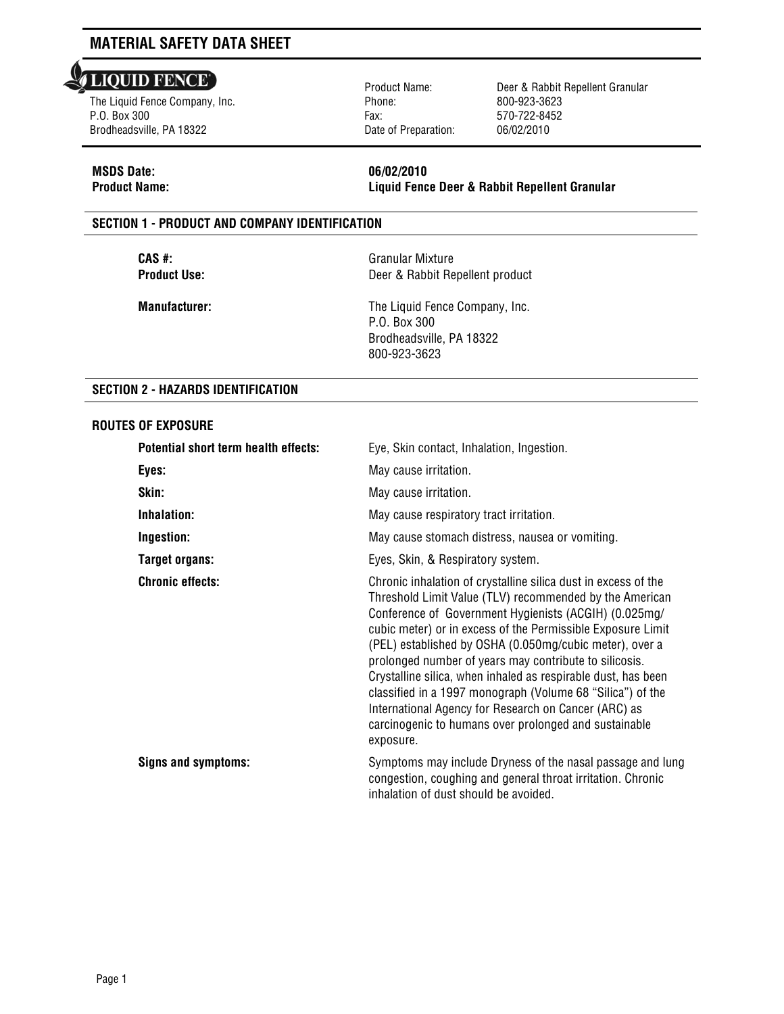#### **LIQUID FENCE** l

The Liquid Fence Company, Inc. P.O. Box 300 Brodheadsville, PA 18322

Product Name: Phone: Fax: Date of Preparation: Deer & Rabbit Repellent Granular 800-923-3623 570-722-8452 06/02/2010

## **MSDS Date: 06/02/2010**

**Product Name: Liquid Fence Deer & Rabbit Repellent Granular**

#### **SECTION 1 - PRODUCT AND COMPANY IDENTIFICATION**

**CAS #:**<br> **Product Use:**<br> **Product Use:**<br> **CAS #:**<br> **CAS #:**<br> **CAS #:**<br>
Deer & Rabbit Re **Deer & Rabbit Repellent product** 

**Manufacturer:** The Liquid Fence Company, Inc. P.O. Box 300 Brodheadsville, PA 18322 800-923-3623

#### **SECTION 2 - HAZARDS IDENTIFICATION**

#### **ROUTES OF EXPOSURE**

| Potential short term health effects: | Eye, Skin contact, Inhalation, Ingestion.                                                                                                                                                                                                                                                                                                                                                                                                                                                                                                                                                                                           |
|--------------------------------------|-------------------------------------------------------------------------------------------------------------------------------------------------------------------------------------------------------------------------------------------------------------------------------------------------------------------------------------------------------------------------------------------------------------------------------------------------------------------------------------------------------------------------------------------------------------------------------------------------------------------------------------|
| Eyes:                                | May cause irritation.                                                                                                                                                                                                                                                                                                                                                                                                                                                                                                                                                                                                               |
| Skin:                                | May cause irritation.                                                                                                                                                                                                                                                                                                                                                                                                                                                                                                                                                                                                               |
| Inhalation:                          | May cause respiratory tract irritation.                                                                                                                                                                                                                                                                                                                                                                                                                                                                                                                                                                                             |
| Ingestion:                           | May cause stomach distress, nausea or vomiting.                                                                                                                                                                                                                                                                                                                                                                                                                                                                                                                                                                                     |
| <b>Target organs:</b>                | Eyes, Skin, & Respiratory system.                                                                                                                                                                                                                                                                                                                                                                                                                                                                                                                                                                                                   |
| <b>Chronic effects:</b>              | Chronic inhalation of crystalline silica dust in excess of the<br>Threshold Limit Value (TLV) recommended by the American<br>Conference of Government Hygienists (ACGIH) (0.025mg/<br>cubic meter) or in excess of the Permissible Exposure Limit<br>(PEL) established by OSHA (0.050mg/cubic meter), over a<br>prolonged number of years may contribute to silicosis.<br>Crystalline silica, when inhaled as respirable dust, has been<br>classified in a 1997 monograph (Volume 68 "Silica") of the<br>International Agency for Research on Cancer (ARC) as<br>carcinogenic to humans over prolonged and sustainable<br>exposure. |
| Signs and symptoms:                  | Symptoms may include Dryness of the nasal passage and lung<br>congestion, coughing and general throat irritation. Chronic<br>inhalation of dust should be avoided.                                                                                                                                                                                                                                                                                                                                                                                                                                                                  |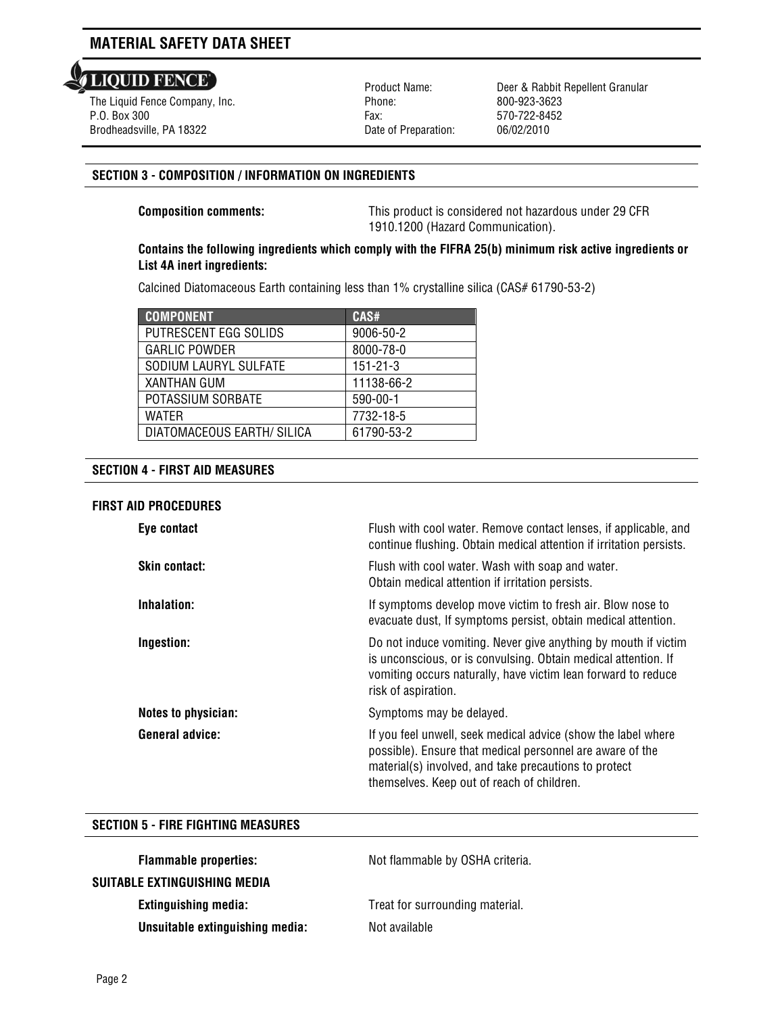**LIQUID FENCE** 

l The Liquid Fence Company, Inc. P.O. Box 300 Brodheadsville, PA 18322

Product Name: Phone: Fax: Date of Preparation: Deer & Rabbit Repellent Granular 800-923-3623 570-722-8452 06/02/2010

### **SECTION 3 - COMPOSITION / INFORMATION ON INGREDIENTS**

**Composition comments:** This product is considered not hazardous under 29 CFR 1910.1200 (Hazard Communication).

### **Contains the following ingredients which comply with the FIFRA 25(b) minimum risk active ingredients or List 4A inert ingredients:**

Calcined Diatomaceous Earth containing less than 1% crystalline silica (CAS# 61790-53-2)

| <b>COMPONENT</b>           | CAS#           |
|----------------------------|----------------|
| PUTRESCENT EGG SOLIDS      | 9006-50-2      |
| <b>GARLIC POWDER</b>       | 8000-78-0      |
| SODIUM LAURYL SULFATE      | $151 - 21 - 3$ |
| <b>XANTHAN GUM</b>         | 11138-66-2     |
| POTASSIUM SORBATE          | 590-00-1       |
| WATFR                      | 7732-18-5      |
| DIATOMACEOUS EARTH/ SILICA | 61790-53-2     |

#### **SECTION 4 - FIRST AID MEASURES**

#### **FIRST AID PROCEDURES**

| Eye contact                | Flush with cool water. Remove contact lenses, if applicable, and<br>continue flushing. Obtain medical attention if irritation persists.                                                                                           |
|----------------------------|-----------------------------------------------------------------------------------------------------------------------------------------------------------------------------------------------------------------------------------|
| <b>Skin contact:</b>       | Flush with cool water. Wash with soap and water.<br>Obtain medical attention if irritation persists.                                                                                                                              |
| Inhalation:                | If symptoms develop move victim to fresh air. Blow nose to<br>evacuate dust, If symptoms persist, obtain medical attention.                                                                                                       |
| Ingestion:                 | Do not induce vomiting. Never give anything by mouth if victim<br>is unconscious, or is convulsing. Obtain medical attention. If<br>vomiting occurs naturally, have victim lean forward to reduce<br>risk of aspiration.          |
| <b>Notes to physician:</b> | Symptoms may be delayed.                                                                                                                                                                                                          |
| <b>General advice:</b>     | If you feel unwell, seek medical advice (show the label where<br>possible). Ensure that medical personnel are aware of the<br>material(s) involved, and take precautions to protect<br>themselves. Keep out of reach of children. |

#### **SECTION 5 - FIRE FIGHTING MEASURES**

| <b>Flammable properties:</b>    | Not flammable by OSHA criteria. |
|---------------------------------|---------------------------------|
| SUITABLE EXTINGUISHING MEDIA    |                                 |
| <b>Extinguishing media:</b>     | Treat for surrounding material. |
| Unsuitable extinguishing media: | Not available                   |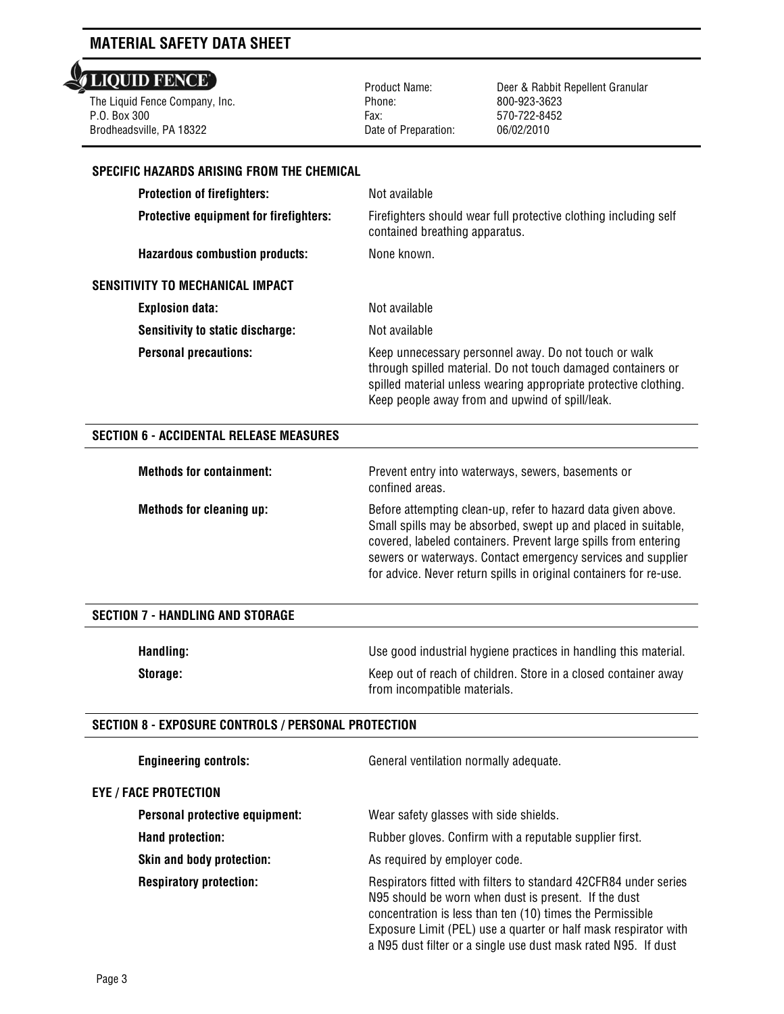## **LIQUID FENCE**

 The Liquid Fence Company, Inc. P.O. Box 300 Brodheadsville, PA 18322

 Product Name: Phone: Fax: Date of Preparation:

Deer & Rabbit Repellent Granular 800-923-3623 570-722-8452 06/02/2010

#### **SPECIFIC HAZARDS ARISING FROM THE CHEMICAL**

| <b>Protection of firefighters:</b>      | Not available                                                                                                                                                                                                                                |
|-----------------------------------------|----------------------------------------------------------------------------------------------------------------------------------------------------------------------------------------------------------------------------------------------|
| Protective equipment for firefighters:  | Firefighters should wear full protective clothing including self<br>contained breathing apparatus.                                                                                                                                           |
| <b>Hazardous combustion products:</b>   | None known.                                                                                                                                                                                                                                  |
| SENSITIVITY TO MECHANICAL IMPACT        |                                                                                                                                                                                                                                              |
| <b>Explosion data:</b>                  | Not available                                                                                                                                                                                                                                |
| <b>Sensitivity to static discharge:</b> | Not available                                                                                                                                                                                                                                |
| <b>Personal precautions:</b>            | Keep unnecessary personnel away. Do not touch or walk<br>through spilled material. Do not touch damaged containers or<br>spilled material unless wearing appropriate protective clothing.<br>Keep people away from and upwind of spill/leak. |

#### **SECTION 6 - ACCIDENTAL RELEASE MEASURES**

| <b>Methods for containment:</b> | Prevent entry into waterways, sewers, basements or<br>confined areas.                                                                                                                                                                                                                                                                    |
|---------------------------------|------------------------------------------------------------------------------------------------------------------------------------------------------------------------------------------------------------------------------------------------------------------------------------------------------------------------------------------|
| <b>Methods for cleaning up:</b> | Before attempting clean-up, refer to hazard data given above.<br>Small spills may be absorbed, swept up and placed in suitable,<br>covered, labeled containers. Prevent large spills from entering<br>sewers or waterways. Contact emergency services and supplier<br>for advice. Never return spills in original containers for re-use. |

#### **SECTION 7 - HANDLING AND STORAGE**

| Handling: | Use good industrial hygiene practices in handling this material. |
|-----------|------------------------------------------------------------------|
| Storage:  | Keep out of reach of children. Store in a closed container away  |
|           | from incompatible materials.                                     |

#### **SECTION 8 - EXPOSURE CONTROLS / PERSONAL PROTECTION**

| <b>Engineering controls:</b>     | General ventilation normally adequate.                                                                                                                                                                                                                                                                                     |
|----------------------------------|----------------------------------------------------------------------------------------------------------------------------------------------------------------------------------------------------------------------------------------------------------------------------------------------------------------------------|
| Eye / Face protection            |                                                                                                                                                                                                                                                                                                                            |
| Personal protective equipment:   | Wear safety glasses with side shields.                                                                                                                                                                                                                                                                                     |
| Hand protection:                 | Rubber gloves. Confirm with a reputable supplier first.                                                                                                                                                                                                                                                                    |
| <b>Skin and body protection:</b> | As required by employer code.                                                                                                                                                                                                                                                                                              |
| <b>Respiratory protection:</b>   | Respirators fitted with filters to standard 42CFR84 under series<br>N95 should be worn when dust is present. If the dust<br>concentration is less than ten (10) times the Permissible<br>Exposure Limit (PEL) use a quarter or half mask respirator with<br>a N95 dust filter or a single use dust mask rated N95. If dust |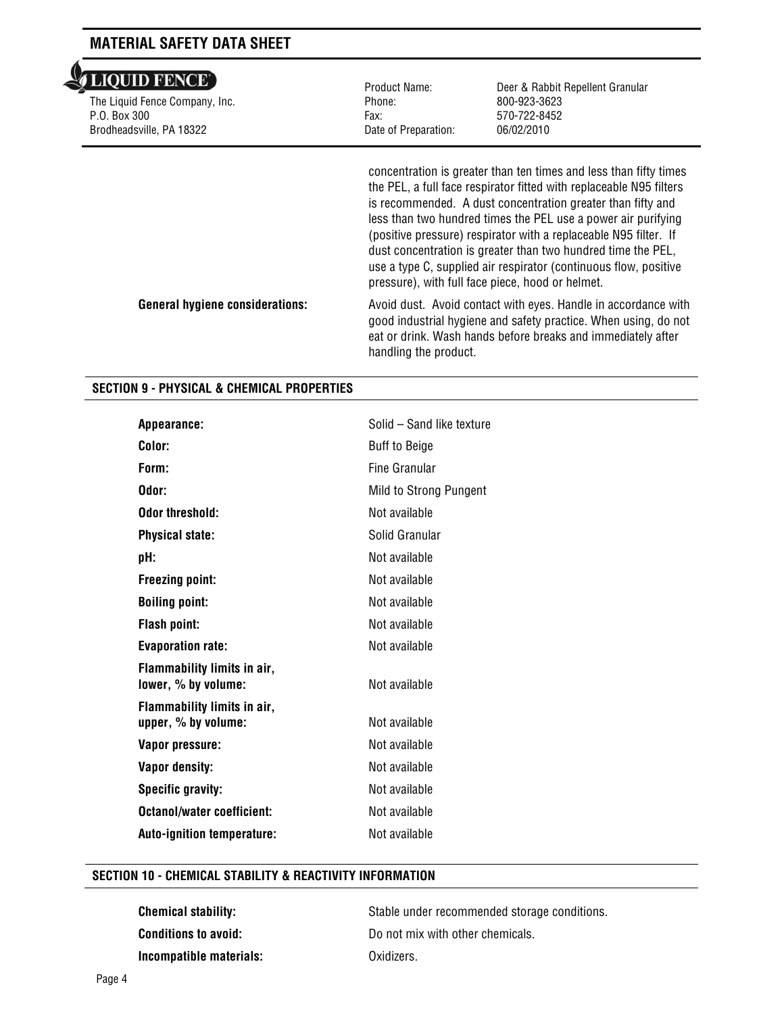| <b>ALIOUID FENCE</b> |  |  |
|----------------------|--|--|
|                      |  |  |

 $\overline{A}$ 

l The Liquid Fence Company, Inc. P.O. Box 300 Brodheadsville, PA 18322

Product Name: Phone: Fax: Date of Preparation: Deer & Rabbit Repellent Granular 800-923-3623 570-722-8452 06/02/2010

concentration is greater than ten times and less than fifty times the PEL, a full face respirator fitted with replaceable N95 filters is recommended. A dust concentration greater than fifty and less than two hundred times the PEL use a power air purifying (positive pressure) respirator with a replaceable N95 filter. If dust concentration is greater than two hundred time the PEL, use a type C, supplied air respirator (continuous flow, positive pressure), with full face piece, hood or helmet.

General hygiene considerations: Avoid dust. Avoid contact with eyes. Handle in accordance with good industrial hygiene and safety practice. When using, do not eat or drink. Wash hands before breaks and immediately after handling the product.

### **SECTION 9 - PHYSICAL & CHEMICAL PROPERTIES**

| Appearance:                                        | Solid - Sand like texture |
|----------------------------------------------------|---------------------------|
| Color:                                             | <b>Buff to Beige</b>      |
| Form:                                              | Fine Granular             |
| Odor:                                              | Mild to Strong Pungent    |
| <b>Odor threshold:</b>                             | Not available             |
| <b>Physical state:</b>                             | Solid Granular            |
| pH:                                                | Not available             |
| <b>Freezing point:</b>                             | Not available             |
| <b>Boiling point:</b>                              | Not available             |
| <b>Flash point:</b>                                | Not available             |
| <b>Evaporation rate:</b>                           | Not available             |
| Flammability limits in air,<br>lower, % by volume: | Not available             |
| Flammability limits in air,<br>upper, % by volume: | Not available             |
| Vapor pressure:                                    | Not available             |
| <b>Vapor density:</b>                              | Not available             |
| <b>Specific gravity:</b>                           | Not available             |
| <b>Octanol/water coefficient:</b>                  | Not available             |
| <b>Auto-ignition temperature:</b>                  | Not available             |
|                                                    |                           |

#### **SECTION 10 - CHEMICAL STABILITY & REACTIVITY INFORMATION**

**Incompatible materials:** Oxidizers.

**Chemical stability:** Stable under recommended storage conditions. **Conditions to avoid:** Do not mix with other chemicals.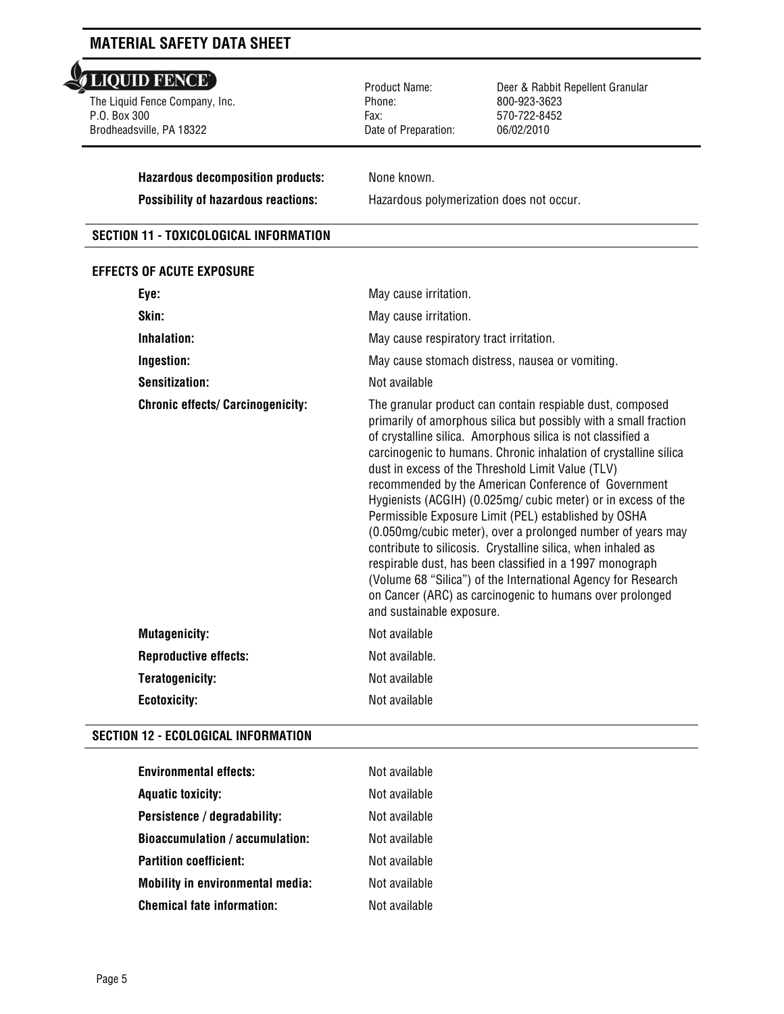## LIQUID FENCE'

l The Liquid Fence Company, Inc. P.O. Box 300 Brodheadsville, PA 18322

 Product Name: Phone: Fax: Date of Preparation:

Deer & Rabbit Repellent Granular 800-923-3623 570-722-8452 06/02/2010

**Hazardous decomposition products:** None known.

**Possibility of hazardous reactions:** Hazardous polymerization does not occur.

#### **SECTION 11 - TOXICOLOGICAL INFORMATION**

#### **EFFECTS OF ACUTE EXPOSURE**

| Eye:                                     | May cause irritation.                                                                                                                                                                                                                                                                                                                                                                                                                                                                                                                                                                                                                                                                                                                                                                                                                                       |  |
|------------------------------------------|-------------------------------------------------------------------------------------------------------------------------------------------------------------------------------------------------------------------------------------------------------------------------------------------------------------------------------------------------------------------------------------------------------------------------------------------------------------------------------------------------------------------------------------------------------------------------------------------------------------------------------------------------------------------------------------------------------------------------------------------------------------------------------------------------------------------------------------------------------------|--|
| Skin:                                    | May cause irritation.                                                                                                                                                                                                                                                                                                                                                                                                                                                                                                                                                                                                                                                                                                                                                                                                                                       |  |
| Inhalation:                              | May cause respiratory tract irritation.                                                                                                                                                                                                                                                                                                                                                                                                                                                                                                                                                                                                                                                                                                                                                                                                                     |  |
| Ingestion:                               | May cause stomach distress, nausea or vomiting.                                                                                                                                                                                                                                                                                                                                                                                                                                                                                                                                                                                                                                                                                                                                                                                                             |  |
| <b>Sensitization:</b>                    | Not available                                                                                                                                                                                                                                                                                                                                                                                                                                                                                                                                                                                                                                                                                                                                                                                                                                               |  |
| <b>Chronic effects/ Carcinogenicity:</b> | The granular product can contain respiable dust, composed<br>primarily of amorphous silica but possibly with a small fraction<br>of crystalline silica. Amorphous silica is not classified a<br>carcinogenic to humans. Chronic inhalation of crystalline silica<br>dust in excess of the Threshold Limit Value (TLV)<br>recommended by the American Conference of Government<br>Hygienists (ACGIH) (0.025mg/ cubic meter) or in excess of the<br>Permissible Exposure Limit (PEL) established by OSHA<br>(0.050mg/cubic meter), over a prolonged number of years may<br>contribute to silicosis. Crystalline silica, when inhaled as<br>respirable dust, has been classified in a 1997 monograph<br>(Volume 68 "Silica") of the International Agency for Research<br>on Cancer (ARC) as carcinogenic to humans over prolonged<br>and sustainable exposure. |  |
| <b>Mutagenicity:</b>                     | Not available                                                                                                                                                                                                                                                                                                                                                                                                                                                                                                                                                                                                                                                                                                                                                                                                                                               |  |
| <b>Reproductive effects:</b>             | Not available.                                                                                                                                                                                                                                                                                                                                                                                                                                                                                                                                                                                                                                                                                                                                                                                                                                              |  |
| <b>Teratogenicity:</b>                   | Not available                                                                                                                                                                                                                                                                                                                                                                                                                                                                                                                                                                                                                                                                                                                                                                                                                                               |  |
| <b>Ecotoxicity:</b>                      | Not available                                                                                                                                                                                                                                                                                                                                                                                                                                                                                                                                                                                                                                                                                                                                                                                                                                               |  |

#### **SECTION 12 - ECOLOGICAL INFORMATION**

| Environmental effects:                  | Not available |
|-----------------------------------------|---------------|
| Aquatic toxicity:                       | Not available |
| Persistence / degradability:            | Not available |
| <b>Bioaccumulation / accumulation:</b>  | Not available |
| <b>Partition coefficient:</b>           | Not available |
| <b>Mobility in environmental media:</b> | Not available |
| Chemical fate information:              | Not available |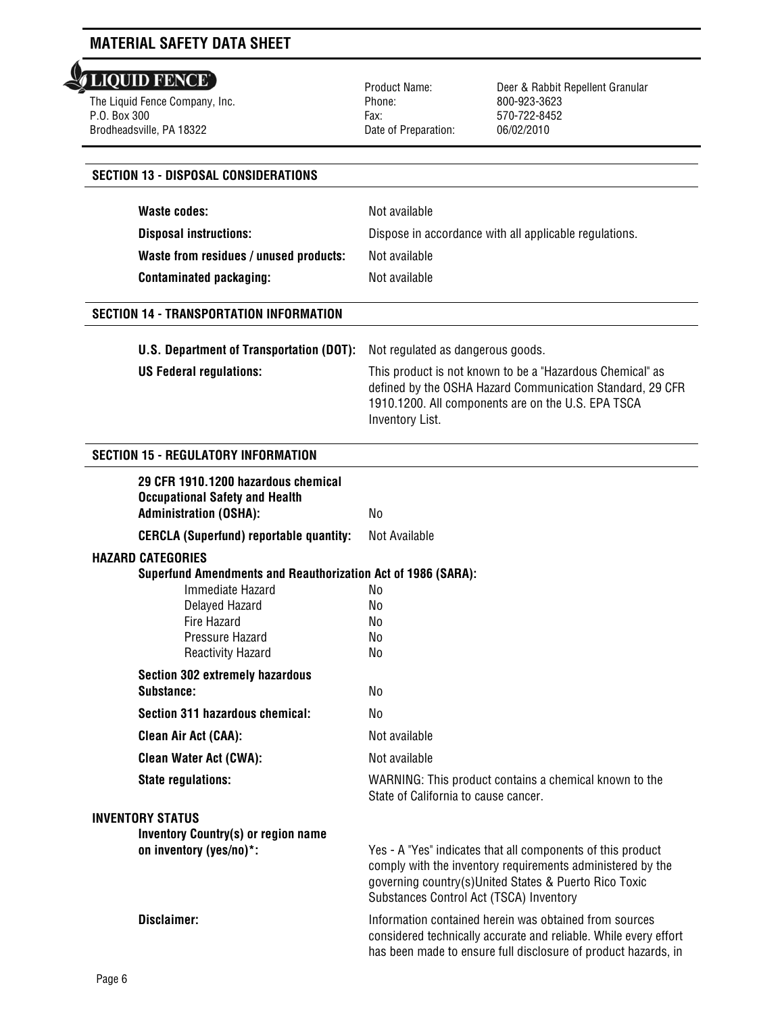The Liquid Fence Company, Inc. P.O. Box 300 Brodheadsville, PA 18322

 Product Name: Phone: Fax: Date of Preparation:

Deer & Rabbit Repellent Granular 800-923-3623 570-722-8452 06/02/2010

| <b>SECTION 13 - DISPOSAL CONSIDERATIONS</b>                                                                   |                                                                                                                                                                                                                               |
|---------------------------------------------------------------------------------------------------------------|-------------------------------------------------------------------------------------------------------------------------------------------------------------------------------------------------------------------------------|
| <b>Waste codes:</b>                                                                                           | Not available                                                                                                                                                                                                                 |
|                                                                                                               |                                                                                                                                                                                                                               |
| <b>Disposal instructions:</b>                                                                                 | Dispose in accordance with all applicable regulations.                                                                                                                                                                        |
| Waste from residues / unused products:                                                                        | Not available                                                                                                                                                                                                                 |
| <b>Contaminated packaging:</b>                                                                                | Not available                                                                                                                                                                                                                 |
| <b>SECTION 14 - TRANSPORTATION INFORMATION</b>                                                                |                                                                                                                                                                                                                               |
| U.S. Department of Transportation (DOT):                                                                      | Not regulated as dangerous goods.                                                                                                                                                                                             |
| <b>US Federal regulations:</b>                                                                                | This product is not known to be a "Hazardous Chemical" as                                                                                                                                                                     |
|                                                                                                               | defined by the OSHA Hazard Communication Standard, 29 CFR<br>1910.1200. All components are on the U.S. EPA TSCA<br>Inventory List.                                                                                            |
| <b>SECTION 15 - REGULATORY INFORMATION</b>                                                                    |                                                                                                                                                                                                                               |
| 29 CFR 1910.1200 hazardous chemical<br><b>Occupational Safety and Health</b><br><b>Administration (OSHA):</b> | No                                                                                                                                                                                                                            |
| <b>CERCLA (Superfund) reportable quantity:</b>                                                                | Not Available                                                                                                                                                                                                                 |
| <b>HAZARD CATEGORIES</b>                                                                                      |                                                                                                                                                                                                                               |
| <b>Superfund Amendments and Reauthorization Act of 1986 (SARA):</b>                                           |                                                                                                                                                                                                                               |
| Immediate Hazard                                                                                              | No                                                                                                                                                                                                                            |
| Delayed Hazard                                                                                                | No                                                                                                                                                                                                                            |
| Fire Hazard                                                                                                   | No                                                                                                                                                                                                                            |
| Pressure Hazard<br><b>Reactivity Hazard</b>                                                                   | No<br>No                                                                                                                                                                                                                      |
| <b>Section 302 extremely hazardous</b>                                                                        |                                                                                                                                                                                                                               |
| Substance:                                                                                                    | No                                                                                                                                                                                                                            |
| Section 311 hazardous chemical:                                                                               | No                                                                                                                                                                                                                            |
| <b>Clean Air Act (CAA):</b>                                                                                   | Not available                                                                                                                                                                                                                 |
| <b>Clean Water Act (CWA):</b>                                                                                 | Not available                                                                                                                                                                                                                 |
| <b>State regulations:</b>                                                                                     | WARNING: This product contains a chemical known to the<br>State of California to cause cancer.                                                                                                                                |
| <b>INVENTORY STATUS</b>                                                                                       |                                                                                                                                                                                                                               |
| <b>Inventory Country(s) or region name</b>                                                                    |                                                                                                                                                                                                                               |
| on inventory (yes/no)*:                                                                                       | Yes - A "Yes" indicates that all components of this product<br>comply with the inventory requirements administered by the<br>governing country(s)United States & Puerto Rico Toxic<br>Substances Control Act (TSCA) Inventory |
| Disclaimer:                                                                                                   | Information contained herein was obtained from sources<br>considered technically accurate and reliable. While every effort<br>has been made to ensure full disclosure of product hazards, in                                  |